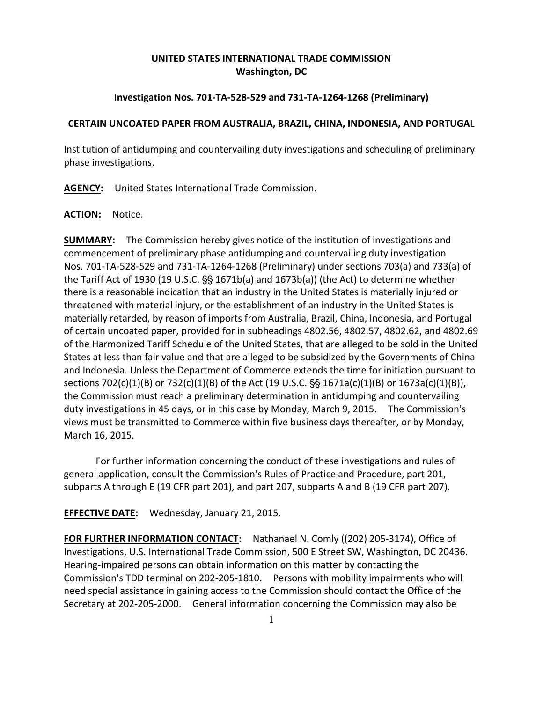# **UNITED STATES INTERNATIONAL TRADE COMMISSION Washington, DC**

# **Investigation Nos. 701-TA-528-529 and 731-TA-1264-1268 (Preliminary)**

## **CERTAIN UNCOATED PAPER FROM AUSTRALIA, BRAZIL, CHINA, INDONESIA, AND PORTUGA**L

Institution of antidumping and countervailing duty investigations and scheduling of preliminary phase investigations.

**AGENCY:** United States International Trade Commission.

#### **ACTION:** Notice.

**SUMMARY:** The Commission hereby gives notice of the institution of investigations and commencement of preliminary phase antidumping and countervailing duty investigation Nos. 701-TA-528-529 and 731-TA-1264-1268 (Preliminary) under sections 703(a) and 733(a) of the Tariff Act of 1930 (19 U.S.C.  $\S$  1671b(a) and 1673b(a)) (the Act) to determine whether there is a reasonable indication that an industry in the United States is materially injured or threatened with material injury, or the establishment of an industry in the United States is materially retarded, by reason of imports from Australia, Brazil, China, Indonesia, and Portugal of certain uncoated paper, provided for in subheadings 4802.56, 4802.57, 4802.62, and 4802.69 of the Harmonized Tariff Schedule of the United States, that are alleged to be sold in the United States at less than fair value and that are alleged to be subsidized by the Governments of China and Indonesia. Unless the Department of Commerce extends the time for initiation pursuant to sections  $702(c)(1)(B)$  or  $732(c)(1)(B)$  of the Act (19 U.S.C.  $S_S$  1671a(c)(1)(B) or 1673a(c)(1)(B)), the Commission must reach a preliminary determination in antidumping and countervailing duty investigations in 45 days, or in this case by Monday, March 9, 2015. The Commission's views must be transmitted to Commerce within five business days thereafter, or by Monday, March 16, 2015.

For further information concerning the conduct of these investigations and rules of general application, consult the Commission's Rules of Practice and Procedure, part 201, subparts A through E (19 CFR part 201), and part 207, subparts A and B (19 CFR part 207).

**EFFECTIVE DATE:** Wednesday, January 21, 2015.

**FOR FURTHER INFORMATION CONTACT:** Nathanael N. Comly ((202) 205-3174), Office of Investigations, U.S. International Trade Commission, 500 E Street SW, Washington, DC 20436. Hearing-impaired persons can obtain information on this matter by contacting the Commission's TDD terminal on 202-205-1810. Persons with mobility impairments who will need special assistance in gaining access to the Commission should contact the Office of the Secretary at 202-205-2000. General information concerning the Commission may also be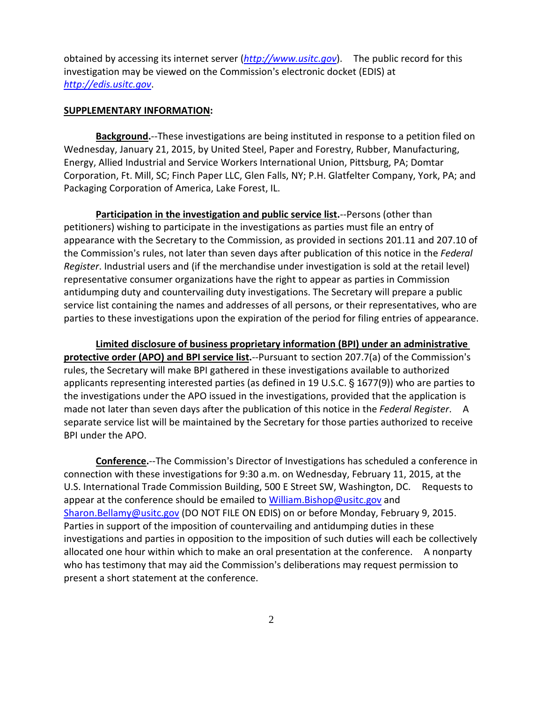obtained by accessing its internet server (*[http://www.usitc.gov](http://www.usitc.gov/)*). The public record for this investigation may be viewed on the Commission's electronic docket (EDIS) at *[http://edis.usitc.gov](http://edis.usitc.gov/)*.

### **SUPPLEMENTARY INFORMATION:**

**Background.**--These investigations are being instituted in response to a petition filed on Wednesday, January 21, 2015, by United Steel, Paper and Forestry, Rubber, Manufacturing, Energy, Allied Industrial and Service Workers International Union, Pittsburg, PA; Domtar Corporation, Ft. Mill, SC; Finch Paper LLC, Glen Falls, NY; P.H. Glatfelter Company, York, PA; and Packaging Corporation of America, Lake Forest, IL.

**Participation in the investigation and public service list.**--Persons (other than petitioners) wishing to participate in the investigations as parties must file an entry of appearance with the Secretary to the Commission, as provided in sections 201.11 and 207.10 of the Commission's rules, not later than seven days after publication of this notice in the *Federal Register*. Industrial users and (if the merchandise under investigation is sold at the retail level) representative consumer organizations have the right to appear as parties in Commission antidumping duty and countervailing duty investigations. The Secretary will prepare a public service list containing the names and addresses of all persons, or their representatives, who are parties to these investigations upon the expiration of the period for filing entries of appearance.

**Limited disclosure of business proprietary information (BPI) under an administrative protective order (APO) and BPI service list.**--Pursuant to section 207.7(a) of the Commission's rules, the Secretary will make BPI gathered in these investigations available to authorized applicants representing interested parties (as defined in 19 U.S.C.  $\S$  1677(9)) who are parties to the investigations under the APO issued in the investigations, provided that the application is made not later than seven days after the publication of this notice in the *Federal Register*. A separate service list will be maintained by the Secretary for those parties authorized to receive BPI under the APO.

**Conference.**--The Commission's Director of Investigations has scheduled a conference in connection with these investigations for 9:30 a.m. on Wednesday, February 11, 2015, at the U.S. International Trade Commission Building, 500 E Street SW, Washington, DC. Requests to appear at the conference should be emailed to [William.Bishop@usitc.gov](mailto:William.Bishop@usitc.gov) and [Sharon.Bellamy@usitc.gov](mailto:Sharon.Bellamy@usitc.gov) (DO NOT FILE ON EDIS) on or before Monday, February 9, 2015. Parties in support of the imposition of countervailing and antidumping duties in these investigations and parties in opposition to the imposition of such duties will each be collectively allocated one hour within which to make an oral presentation at the conference. A nonparty who has testimony that may aid the Commission's deliberations may request permission to present a short statement at the conference.